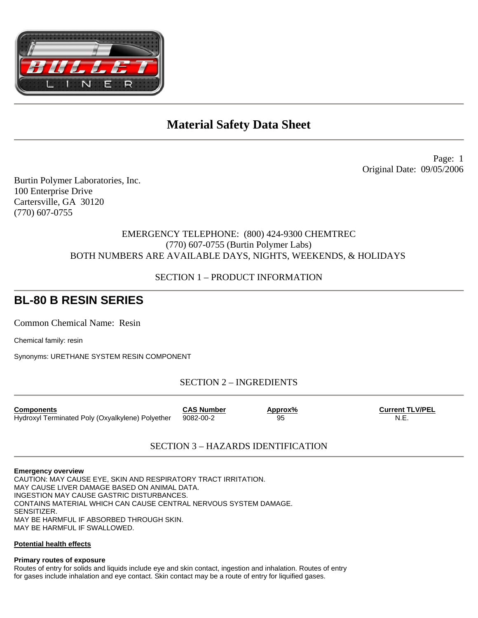

# **Material Safety Data Sheet**

Page: 1 Original Date: 09/05/2006

Burtin Polymer Laboratories, Inc. 100 Enterprise Drive Cartersville, GA 30120 (770) 607-0755

## EMERGENCY TELEPHONE: (800) 424-9300 CHEMTREC (770) 607-0755 (Burtin Polymer Labs) BOTH NUMBERS ARE AVAILABLE DAYS, NIGHTS, WEEKENDS, & HOLIDAYS

## SECTION 1 – PRODUCT INFORMATION

# **BL-80 B RESIN SERIES**

Common Chemical Name: Resin

Chemical family: resin

Synonyms: URETHANE SYSTEM RESIN COMPONENT

SECTION 2 – INGREDIENTS

| <b>Components</b>                                | <b>CAS Number</b> | Approx% | <b>Current TLV/PEL</b> |
|--------------------------------------------------|-------------------|---------|------------------------|
| Hydroxyl Terminated Poly (Oxyalkylene) Polyether | 9082-00-2         | 95      | N.E.                   |

## SECTION 3 – HAZARDS IDENTIFICATION

#### **Emergency overview**

CAUTION: MAY CAUSE EYE, SKIN AND RESPIRATORY TRACT IRRITATION. MAY CAUSE LIVER DAMAGE BASED ON ANIMAL DATA. INGESTION MAY CAUSE GASTRIC DISTURBANCES. CONTAINS MATERIAL WHICH CAN CAUSE CENTRAL NERVOUS SYSTEM DAMAGE. SENSITIZER. MAY BE HARMFUL IF ABSORBED THROUGH SKIN. MAY BE HARMFUL IF SWALLOWED.

### **Potential health effects**

**Primary routes of exposure** 

Routes of entry for solids and liquids include eye and skin contact, ingestion and inhalation. Routes of entry for gases include inhalation and eye contact. Skin contact may be a route of entry for liquified gases.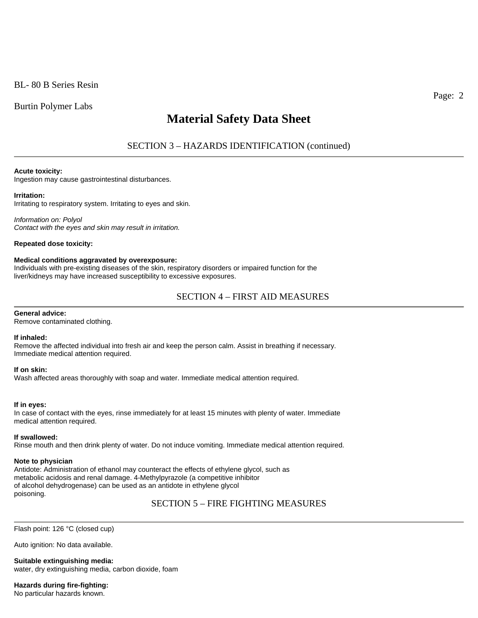Burtin Polymer Labs

# **Material Safety Data Sheet**

SECTION 3 – HAZARDS IDENTIFICATION (continued)

#### **Acute toxicity:**

Ingestion may cause gastrointestinal disturbances.

#### **Irritation:**

Irritating to respiratory system. Irritating to eyes and skin.

*Information on: Polyol Contact with the eyes and skin may result in irritation.* 

**Repeated dose toxicity:** 

#### **Medical conditions aggravated by overexposure:**

Individuals with pre-existing diseases of the skin, respiratory disorders or impaired function for the liver/kidneys may have increased susceptibility to excessive exposures.

## SECTION 4 – FIRST AID MEASURES

#### **General advice:**

Remove contaminated clothing.

#### **If inhaled:**

Remove the affected individual into fresh air and keep the person calm. Assist in breathing if necessary. Immediate medical attention required.

#### **If on skin:**

Wash affected areas thoroughly with soap and water. Immediate medical attention required.

#### **If in eyes:**

In case of contact with the eyes, rinse immediately for at least 15 minutes with plenty of water. Immediate medical attention required.

#### **If swallowed:**

Rinse mouth and then drink plenty of water. Do not induce vomiting. Immediate medical attention required.

#### **Note to physician**

Antidote: Administration of ethanol may counteract the effects of ethylene glycol, such as metabolic acidosis and renal damage. 4-Methylpyrazole (a competitive inhibitor of alcohol dehydrogenase) can be used as an antidote in ethylene glycol poisoning.

SECTION 5 – FIRE FIGHTING MEASURES

Flash point: 126 °C (closed cup)

Auto ignition: No data available.

**Suitable extinguishing media:**  water, dry extinguishing media, carbon dioxide, foam

**Hazards during fire-fighting:** 

No particular hazards known.

Page: 2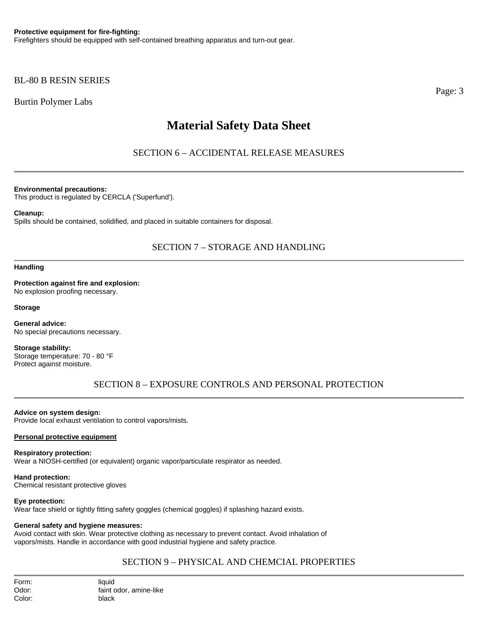## BL-80 B RESIN SERIES

Burtin Polymer Labs

# **Material Safety Data Sheet**

SECTION 6 – ACCIDENTAL RELEASE MEASURES

**Environmental precautions:** 

This product is regulated by CERCLA ('Superfund').

### **Cleanup:**

Spills should be contained, solidified, and placed in suitable containers for disposal.

## SECTION 7 – STORAGE AND HANDLING

**Handling** 

**Protection against fire and explosion:**  No explosion proofing necessary.

**Storage** 

**General advice:**  No special precautions necessary.

**Storage stability:**  Storage temperature: 70 - 80 °F Protect against moisture.

SECTION 8 – EXPOSURE CONTROLS AND PERSONAL PROTECTION

## **Advice on system design:**

Provide local exhaust ventilation to control vapors/mists.

## **Personal protective equipment**

## **Respiratory protection:**

Wear a NIOSH-certified (or equivalent) organic vapor/particulate respirator as needed.

**Hand protection:**  Chemical resistant protective gloves

## **Eye protection:**

Wear face shield or tightly fitting safety goggles (chemical goggles) if splashing hazard exists.

## **General safety and hygiene measures:**

Avoid contact with skin. Wear protective clothing as necessary to prevent contact. Avoid inhalation of vapors/mists. Handle in accordance with good industrial hygiene and safety practice.

## SECTION 9 – PHYSICAL AND CHEMCIAL PROPERTIES

Page: 3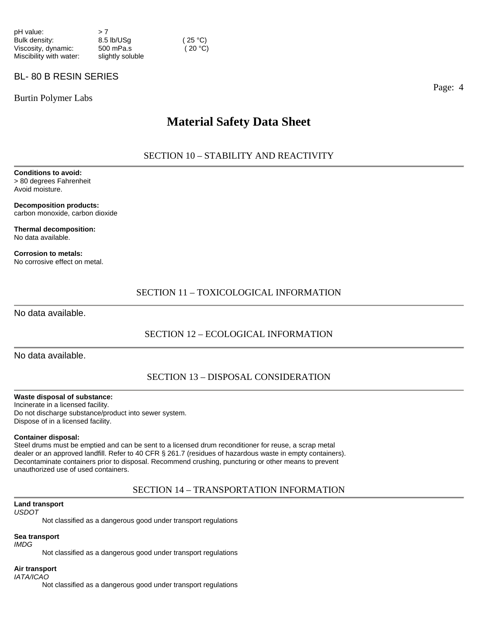| pH value:               | >7               |         |
|-------------------------|------------------|---------|
| Bulk density:           | 8.5 lb/USq       | (25 °C) |
| Viscosity, dynamic:     | 500 mPa.s        | (20 °C) |
| Miscibility with water: | slightly soluble |         |

## BL- 80 B RESIN SERIES

Burtin Polymer Labs

## **Material Safety Data Sheet**

## SECTION 10 – STABILITY AND REACTIVITY

**Conditions to avoid:**  > 80 degrees Fahrenheit Avoid moisture.

**Decomposition products:**  carbon monoxide, carbon dioxide

**Thermal decomposition:**  No data available.

**Corrosion to metals:**  No corrosive effect on metal.

## SECTION 11 – TOXICOLOGICAL INFORMATION

No data available.

## SECTION 12 – ECOLOGICAL INFORMATION

No data available.

### SECTION 13 – DISPOSAL CONSIDERATION

#### **Waste disposal of substance:**

Incinerate in a licensed facility. Do not discharge substance/product into sewer system. Dispose of in a licensed facility.

#### **Container disposal:**

Steel drums must be emptied and can be sent to a licensed drum reconditioner for reuse, a scrap metal dealer or an approved landfill. Refer to 40 CFR § 261.7 (residues of hazardous waste in empty containers). Decontaminate containers prior to disposal. Recommend crushing, puncturing or other means to prevent unauthorized use of used containers.

## SECTION 14 – TRANSPORTATION INFORMATION

#### **Land transport**

*USDOT* 

Not classified as a dangerous good under transport regulations

## **Sea transport**

*IMDG* 

Not classified as a dangerous good under transport regulations

#### **Air transport**  *IATA/ICAO*

Not classified as a dangerous good under transport regulations

Page: 4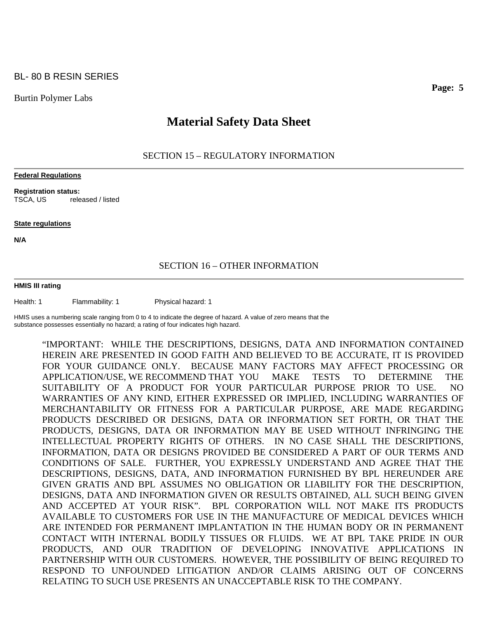### BL- 80 B RESIN SERIES

Burtin Polymer Labs

## **Material Safety Data Sheet**

### SECTION 15 – REGULATORY INFORMATION

#### **Federal Regulations**

**Registration status:**  TSCA, US released / listed

#### **State regulations**

**N/A** 

### SECTION 16 – OTHER INFORMATION

#### **HMIS III rating**

Health: 1 Flammability: 1 Physical hazard: 1

HMIS uses a numbering scale ranging from 0 to 4 to indicate the degree of hazard. A value of zero means that the substance possesses essentially no hazard; a rating of four indicates high hazard.

"IMPORTANT: WHILE THE DESCRIPTIONS, DESIGNS, DATA AND INFORMATION CONTAINED HEREIN ARE PRESENTED IN GOOD FAITH AND BELIEVED TO BE ACCURATE, IT IS PROVIDED FOR YOUR GUIDANCE ONLY. BECAUSE MANY FACTORS MAY AFFECT PROCESSING OR APPLICATION/USE, WE RECOMMEND THAT YOU MAKE TESTS TO DETERMINE THE SUITABILITY OF A PRODUCT FOR YOUR PARTICULAR PURPOSE PRIOR TO USE. NO WARRANTIES OF ANY KIND, EITHER EXPRESSED OR IMPLIED, INCLUDING WARRANTIES OF MERCHANTABILITY OR FITNESS FOR A PARTICULAR PURPOSE, ARE MADE REGARDING PRODUCTS DESCRIBED OR DESIGNS, DATA OR INFORMATION SET FORTH, OR THAT THE PRODUCTS, DESIGNS, DATA OR INFORMATION MAY BE USED WITHOUT INFRINGING THE INTELLECTUAL PROPERTY RIGHTS OF OTHERS. IN NO CASE SHALL THE DESCRIPTIONS, INFORMATION, DATA OR DESIGNS PROVIDED BE CONSIDERED A PART OF OUR TERMS AND CONDITIONS OF SALE. FURTHER, YOU EXPRESSLY UNDERSTAND AND AGREE THAT THE DESCRIPTIONS, DESIGNS, DATA, AND INFORMATION FURNISHED BY BPL HEREUNDER ARE GIVEN GRATIS AND BPL ASSUMES NO OBLIGATION OR LIABILITY FOR THE DESCRIPTION, DESIGNS, DATA AND INFORMATION GIVEN OR RESULTS OBTAINED, ALL SUCH BEING GIVEN AND ACCEPTED AT YOUR RISK". BPL CORPORATION WILL NOT MAKE ITS PRODUCTS AVAILABLE TO CUSTOMERS FOR USE IN THE MANUFACTURE OF MEDICAL DEVICES WHICH ARE INTENDED FOR PERMANENT IMPLANTATION IN THE HUMAN BODY OR IN PERMANENT CONTACT WITH INTERNAL BODILY TISSUES OR FLUIDS. WE AT BPL TAKE PRIDE IN OUR PRODUCTS, AND OUR TRADITION OF DEVELOPING INNOVATIVE APPLICATIONS IN PARTNERSHIP WITH OUR CUSTOMERS. HOWEVER, THE POSSIBILITY OF BEING REQUIRED TO RESPOND TO UNFOUNDED LITIGATION AND/OR CLAIMS ARISING OUT OF CONCERNS RELATING TO SUCH USE PRESENTS AN UNACCEPTABLE RISK TO THE COMPANY.